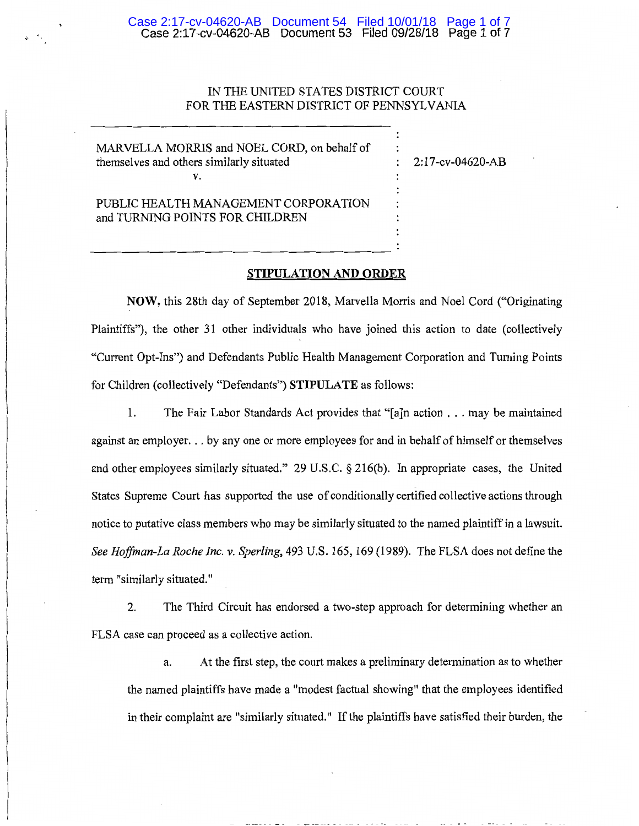# IN THE UNITED STATES DISTRICT COURT FOR THE EASTERN DISTRICT OF PENNSYLVANIA

MARVELLA MORRIS and NOEL CORD, on behalf of themselves and others similarly situated v.

2:17 -cv-04620-AB

PUBLIC HEALTH MANAGEMENT CORPORATION and TURNING POINTS FOR CHILDREN

#### STIPULATION AND ORDER

NOW, this 28th day of September 2018, Marvella Morris and Noel Cord ("Originating Plaintiffs"), the other 31 other individuals who have joined this action to date (collectively "Current Opt-Ins") and Defendants Public Health Management Corporation and Turning Points for Children (collectively "Defendants") STIPULATE as follows:

1. The Fair Labor Standards Act provides that "[a]n action ... may be maintained against an employer. . . by any one or more employees for and in behalf of himself or themselves and other employees similarly situated." 29 U.S.C. § 216(b). In appropriate cases, the United States Supreme Court has supported the use of conditionally certified collective actions through notice to putative class members who may be similarly situated to the named plaintiff in a lawsuit. *See Hoffman-La Roche Inc.* v. *Sperling,* 493 U.S. 165, 169 (1989). The FLSA does not define the term "similarly situated."

2. The Third Circuit has endorsed a two-step approach for determining whether an FLSA case can proceed as a collective action.

a. At the first step, the court makes a preliminary determination as to whether the named plaintiffs have made a "modest factual showing" that the employees identified in their complaint are "similarly situated." If the plaintiffs have satisfied their burden, the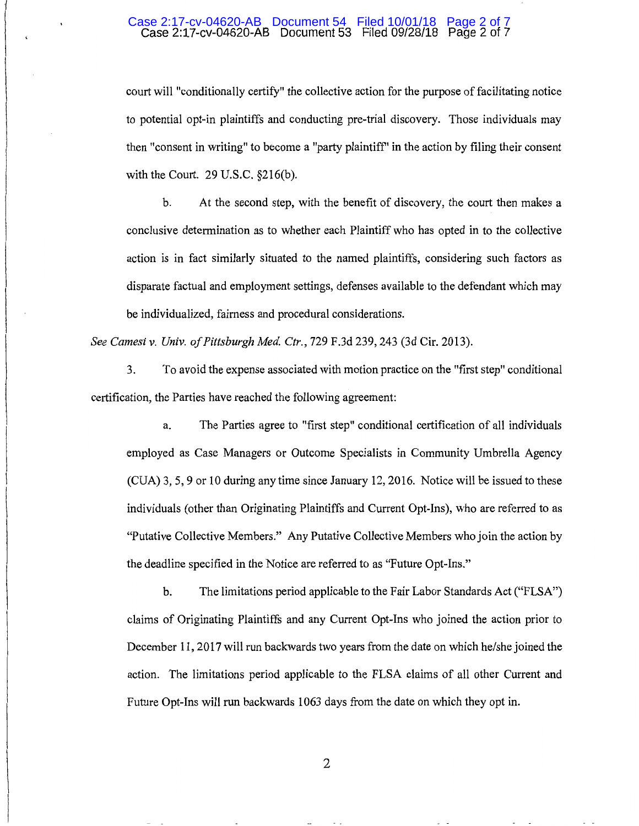#### Case 2:17-cv-04620-AB Document 53 Filed 09/28/18 Page 2 of 7 Case 2:17-cv-04620-AB Document 54 Filed 10/01/18 Page 2 of 7

court will "conditionally certify" the collective action for the purpose of facilitating notice to potential opt-in plaintiffs and conducting pre-trial discovery. Those individuals may then "consent in writing" to become a "party plaintiff" in the action by filing their consent with the Court. 29 U.S.C. §216(b).

b. At the second step, with the benefit of discovery, the court then makes a conclusive determination as to whether each Plaintiff who has opted in to the collective action is in fact similarly situated to the named plaintiffs, considering such factors as disparate factual and employment settings, defenses available to the defendant which may be individualized, fairness and procedural considerations.

*See Camesi v. Univ. of Pittsburgh Med Ctr.,* 729 F.3d 239, 243 (3d Cir. 2013).

3. To avoid the expense associated with motion practice on the "first step" conditional certification, the Parties have reached the following agreement:

a. The Parties agree to "first step" conditional certification of all individuals employed as Case Managers or Outcome Specialists in Community Umbrella Agency (CUA) 3, 5, 9 or 10 during any time since January 12,2016. Notice will be issued to these individuals (other than Originating Plaintiffs and Current Opt-Ins), who are referred to as "Putative Collective Members." Any Putative Collective Members who join the action by the deadline specified in the Notice are referred to as "Future Opt-Ins."

b. The limitations period applicable to the Fair Labor Standards Act ("FLSA") claims of Originating Plaintiffs and any Current Opt-Ins who joined the action prior to December 11, 2017 will run backwards two years from the date on which he/she joined the action. The limitations period applicable to the FLSA claims of all other Current and Future Opt-Ins will run backwards 1063 days from the date on which they opt in.

2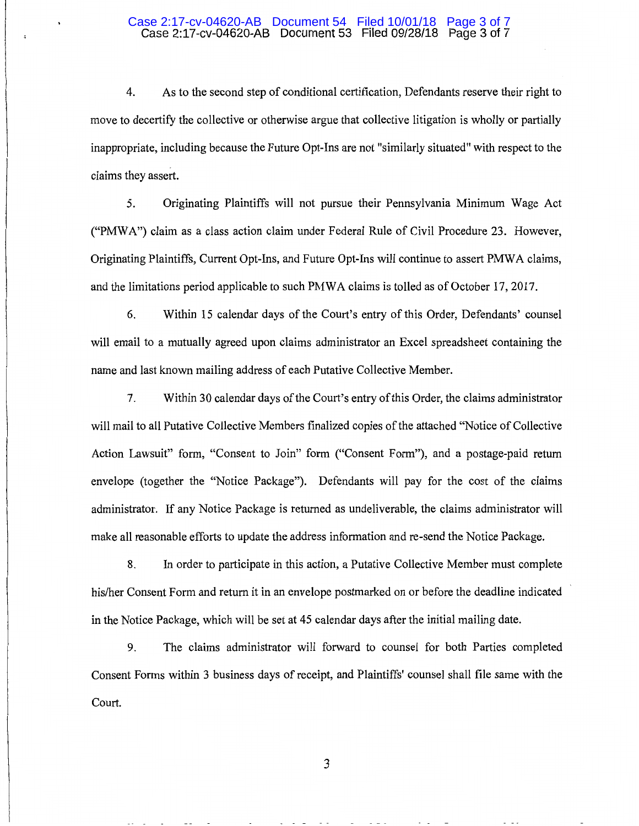#### Case 2:17-cv-04620-AB Document 53 Filed 09/28/18 Page 3 of 7 Case 2:17-cv-04620-AB Document 54 Filed 10/01/18 Page 3 of 7

4. As to the second step of conditional certification, Defendants reserve their right to move to decertify the collective or otherwise argue that collective litigation is wholly or partially inappropriate, including because the Future Opt-Ins are not "similarly situated" with respect to the claims they assert.

5. Originating Plaintiffs will not pursue their Pennsylvania Minimum Wage Act ("PMWA") claim as a class action claim under Federal Rule of Civil Procedure 23. However, Originating Plaintiffs, Current Opt-Ins, and Future Opt-Ins will continue to assert PMWA claims, and the limitations period applicable to such PMWA claims is tolled as of October 17, 2017.

6. Within 15 calendar days of the Court's entry of this Order, Defendants' counsel will email to a mutually agreed upon claims administrator an Excel spreadsheet containing the name and last known mailing address of each Putative Collective Member.

7. Within 30 calendar days of the Court's entry of this Order, the claims administrator will mail to all Putative Collective Members finalized copies of the attached "Notice of Collective Action Lawsuit" form, "Consent to Join" form ("Consent Form"), and a postage-paid return envelope (together the "Notice Package"). Defendants will pay for the cost of the claims administrator. If any Notice Package is returned as undeliverable, the claims administrator will make all reasonable efforts to update the address information and re-send the Notice Package.

8. In order to participate in this action, a Putative Collective Member must complete his/her Consent Form and return it in an envelope postmarked on or before the deadline indicated in the Notice Package, which will be set at 45 calendar days after the initial mailing date.

9. The claims administrator will forward to counsel for both Parties completed Consent Forms within 3 business days of receipt, and Plaintiffs' counsel shall file same with the Court.

3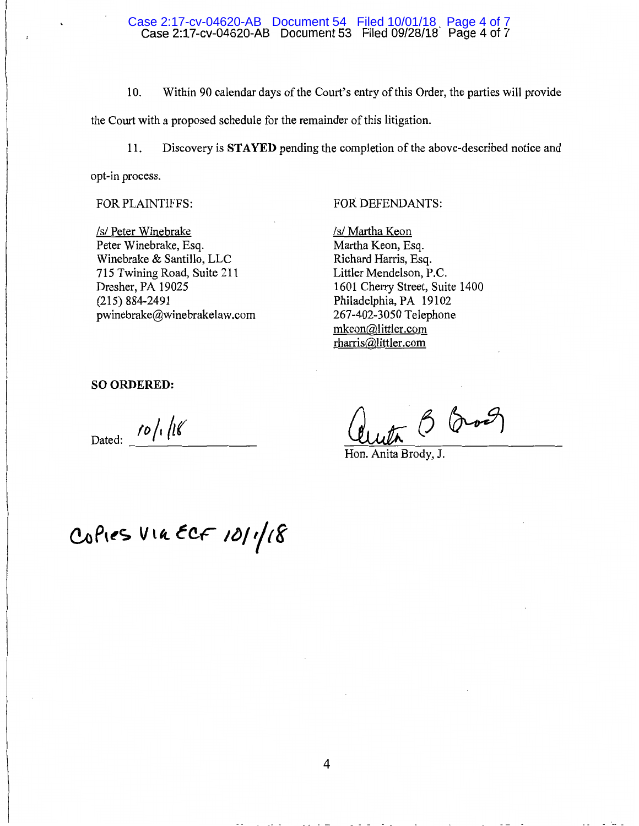#### Case 2:17-cv-04620-AB Document 53 Filed 09/28/18- Page 4 of 7 Case 2:17-cv-04620-AB Document 54 Filed 10/01/18 Page 4 of 7

10. Within 90 calendar days of the Court's entry of this Order, the parties will provide the Court with a proposed schedule for the remainder of this litigation.

11. Discovery is STAYED pending the completion of the above-described notice and opt-in process.

FOR PLAINTIFFS:

*Is/* Peter Winebrake Peter Winebrake, Esq. Winebrake & Santillo, LLC 715 Twining Road, Suite 211 Dresher, PA 19025 (215) 884-2491 pwinebrake@winebrakelaw.com

## FOR DEFENDANTS:

*Is/* Martha Keon Martha Keon, Esq. Richard Harris, Esq. Littler Mendelson, P.C. 1601 Cherry Street, Suite 1400 Philadelphia, PA 19102 267-402-3050 Telephone mkeon@littler.com rharris@littler .com

SO ORDERED:

Dated:  $\frac{1}{2}$  /0 /1 /18

uta B Eros

Hon. Anita Brody, J.

Copies VIA ECF 10/1/18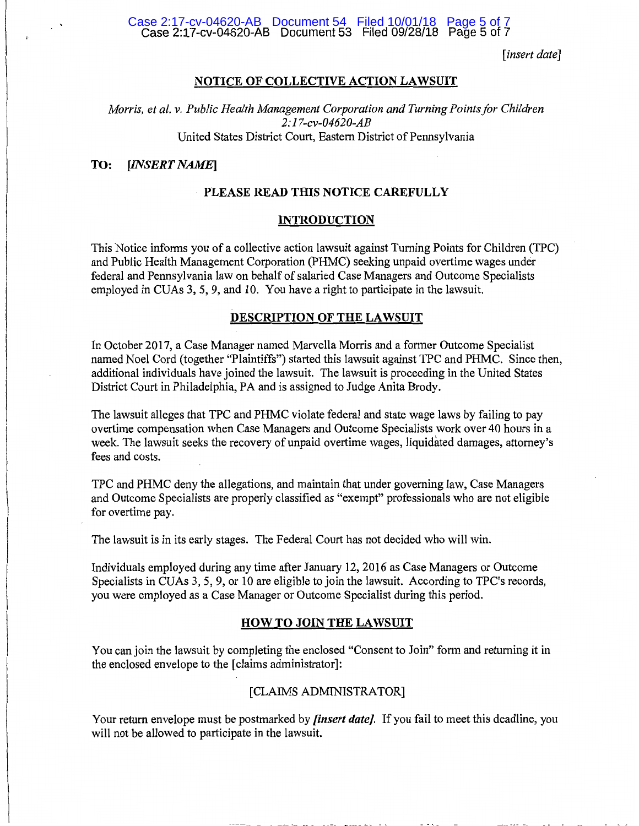#### Case 2:17-cv-04620-AB Document 53 Filed 09/28/18 Page 5 of 7 Case 2:17-cv-04620-AB Document 54 Filed 10/01/18 Page 5 of 7

*[insert date]* 

### NOTICE OF COLLECTIVE ACTION LAWSUIT

*Morris, et al. v. Public Health Management Corporation and Turning Points for Children 2:17-cv-04620-AB*  United States District Court, Eastern District of Pennsylvania

### TO: *[INSERT NAME]*

### PLEASE READ THIS NOTICE CAREFULLY

#### INTRODUCTION

This Notice informs you of a collective action lawsuit against Turning Points for Children (TPC) and Public Health Management Corporation (PHMC) seeking unpaid overtime wages under federal and Pennsylvania law on behalf of salaried Case Managers and Outcome Specialists employed in CUAs 3, 5, 9, and 10. You have a right to participate in the lawsuit.

## DESCRIPTION OF THE LAWSUIT

In October 2017, a Case Manager named Marvella Morris and a former Outcome Specialist named Noel Cord (together "Plaintiffs") started this lawsuit against TPC and PHMC. Since then, additional individuals have joined the lawsuit. The lawsuit is proceeding in the United States District Court in Philadelphia, PA and is assigned to Judge Anita Brody.

The lawsuit alleges that TPC and PHMC violate federal and state wage laws by failing to pay overtime compensation when Case Managers and Outcome Specialists work over 40 hours in a week. The lawsuit seeks the recovery of unpaid overtime wages, liquidated damages, attorney's fees and costs.

TPC and PHMC deny the allegations, and maintain that under governing law, Case Managers and Outcome Specialists are properly classified as "exempt" professionals who are not eligible for overtime pay.

The lawsuit is in its early stages. The Federal Court has not decided who will win.

Individuals employed during any time after January 12, 2016 as Case Managers or Outcome Specialists in CUAs 3, 5, 9, or 10 are eligible to join the lawsuit. According to TPC's records, you were employed as a Case Manager or Outcome Specialist during this period.

#### HOW TO JOIN THE LAWSUIT

You can join the lawsuit by completing the enclosed "Consent to Join" form and returning it in the enclosed envelope to the [claims administrator]:

#### [CLAIMS ADMINISTRATOR]

Your return envelope must be postmarked by *[insert date].* If you fail to meet this deadline, you will not be allowed to participate in the lawsuit.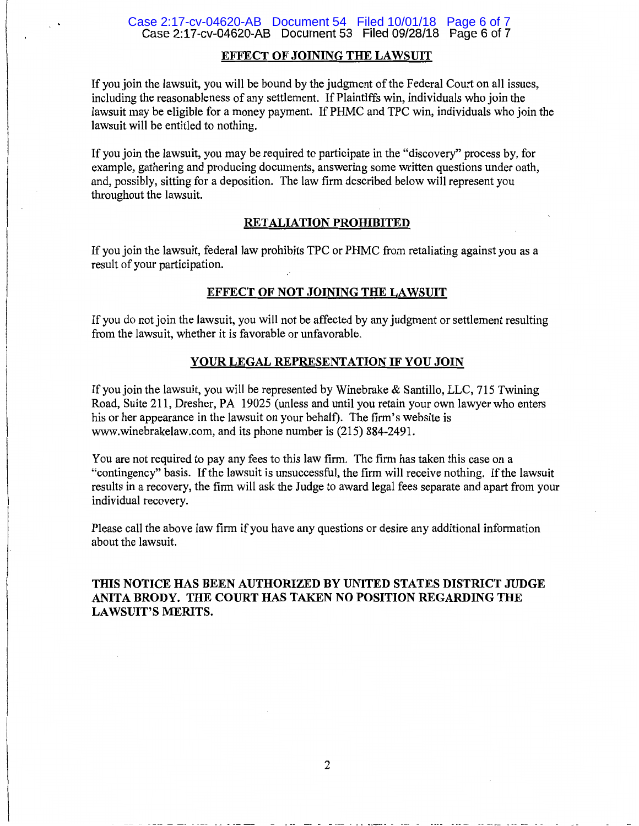#### Case 2:17-cv-04620-AB Document 53 Filed 09/28/18 Page 6 of 7 Case 2:17-cv-04620-AB Document 54 Filed 10/01/18 Page 6 of 7

# EFFECT OF JOINING THE LAWSUIT

If you join the lawsuit, you will be bound by the judgment of the Federal Court on all issues, including the reasonableness of any settlement. If Plaintiffs win, individuals who join the lawsuit may be eligible for a money payment. If PHMC and TPC win, individuals who join the lawsuit will be entitled to nothing.

If you join the lawsuit, you may be required to participate in the "discovery" process by, for example, gathering and producing documents, answering some written questions under oath, and, possibly, sitting for a deposition. The law firm described below will represent you throughout the lawsuit.

### RETALIATION PROHIBITED

If you join the lawsuit, federal law prohibits TPC or PHMC from retaliating against you as a result of your participation.

## EFFECT OF NOT JOINING THE LAWSUIT

If you do not join the lawsuit, you will not be affected by any judgment or settlement resulting from the lawsuit, whether it is favorable or unfavorable.

## YOUR LEGAL REPRESENTATION IF YOU JOIN

If you join the lawsuit, you will be represented by Winebrake & Santillo, LLC, 715 Twining Road, Suite 211, Dresher, PA 19025 (unless and until you retain your own lawyer who enters his or her appearance in the lawsuit on your behalf). The firm's website is www.winebrakelaw.com, and its phone number is (215) 884-2491.

You are not required to pay any fees to this law firm. The firm has taken this case on a "contingency" basis. If the lawsuit is unsuccessful, the firm will receive nothing. If the lawsuit results in a recovery, the firm will ask the Judge to award legal fees separate and apart from your individual recovery.

Please call the above law firm if you have any questions or desire any additional information about the lawsuit.

# THIS NOTICE HAS BEEN AUTHORIZED BY UNITED STATES DISTRICT JUDGE ANITA BRODY. THE COURT HAS TAKEN NO POSITION REGARDING THE LAWSUIT'S MERITS.